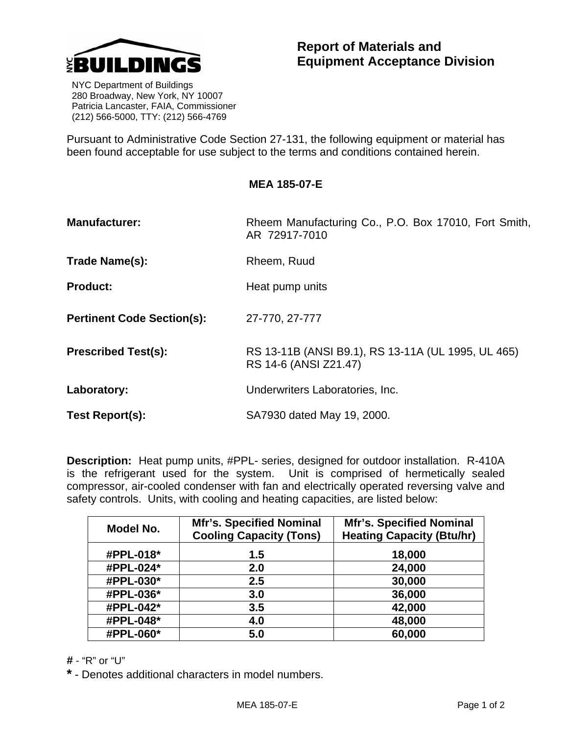

 NYC Department of Buildings 280 Broadway, New York, NY 10007 Patricia Lancaster, FAIA, Commissioner (212) 566-5000, TTY: (212) 566-4769

Pursuant to Administrative Code Section 27-131, the following equipment or material has been found acceptable for use subject to the terms and conditions contained herein.

| <b>Manufacturer:</b>              | Rheem Manufacturing Co., P.O. Box 17010, Fort Smith,<br>AR 72917-7010       |  |
|-----------------------------------|-----------------------------------------------------------------------------|--|
| Trade Name(s):                    | Rheem, Ruud                                                                 |  |
| <b>Product:</b>                   | Heat pump units                                                             |  |
| <b>Pertinent Code Section(s):</b> | 27-770, 27-777                                                              |  |
| <b>Prescribed Test(s):</b>        | RS 13-11B (ANSI B9.1), RS 13-11A (UL 1995, UL 465)<br>RS 14-6 (ANSI Z21.47) |  |
| Laboratory:                       | Underwriters Laboratories, Inc.                                             |  |
| Test Report(s):                   | SA7930 dated May 19, 2000.                                                  |  |

**Description:** Heat pump units, #PPL- series, designed for outdoor installation. R-410A is the refrigerant used for the system. Unit is comprised of hermetically sealed compressor, air-cooled condenser with fan and electrically operated reversing valve and safety controls. Units, with cooling and heating capacities, are listed below:

| Model No. | <b>Mfr's. Specified Nominal</b><br><b>Cooling Capacity (Tons)</b> | <b>Mfr's. Specified Nominal</b><br><b>Heating Capacity (Btu/hr)</b> |
|-----------|-------------------------------------------------------------------|---------------------------------------------------------------------|
| #PPL-018* | 1.5                                                               | 18,000                                                              |
| #PPL-024* | 2.0                                                               | 24,000                                                              |
| #PPL-030* | 2.5                                                               | 30,000                                                              |
| #PPL-036* | 3.0                                                               | 36,000                                                              |
| #PPL-042* | 3.5                                                               | 42,000                                                              |
| #PPL-048* | 4.0                                                               | 48,000                                                              |
| #PPL-060* | 5.0                                                               | 60,000                                                              |

**#** - "R" or "U"

**\*** - Denotes additional characters in model numbers.